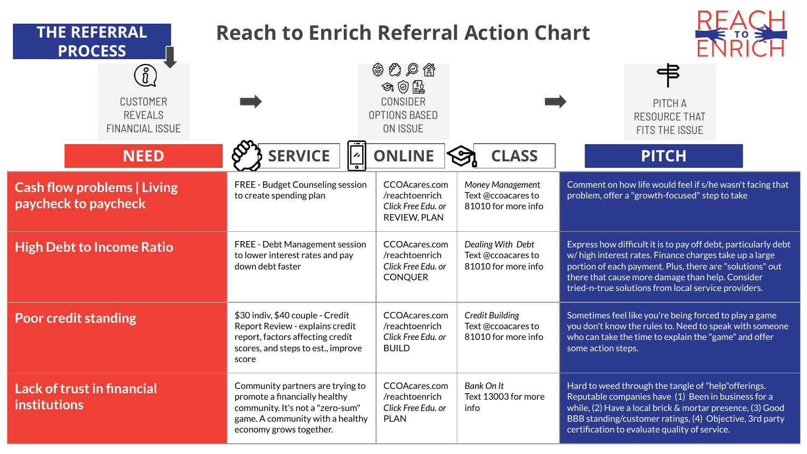| <b>THE REFERRAL</b><br><b>PROCESS</b>                                                                                     | <b>Reach to Enrich Referral Action Chart</b>                                                                                                                         |                                                                                      |                                                                     |                                                                                                                                                                                                                                                                                                  |
|---------------------------------------------------------------------------------------------------------------------------|----------------------------------------------------------------------------------------------------------------------------------------------------------------------|--------------------------------------------------------------------------------------|---------------------------------------------------------------------|--------------------------------------------------------------------------------------------------------------------------------------------------------------------------------------------------------------------------------------------------------------------------------------------------|
| $\left(\begin{smallmatrix} 0 \ 0 \end{smallmatrix}\right)$<br><b>CUSTOMER</b><br><b>REVEALS</b><br><b>FINANCIAL ISSUE</b> |                                                                                                                                                                      | ● ② ♪ 當<br>$\circledast \circledast$<br>CONSIDER<br>OPTIONS BASED<br><b>ON ISSUE</b> |                                                                     | PITCH A<br><b>RESOURCE THAT</b><br>FITS THE ISSUE                                                                                                                                                                                                                                                |
| <b>NEED</b>                                                                                                               | <b>SERVICE</b>                                                                                                                                                       | <b>ONLINE</b>                                                                        | <b>CLASS</b>                                                        | <b>PITCH</b>                                                                                                                                                                                                                                                                                     |
| <b>Cash flow problems   Living</b><br>paycheck to paycheck                                                                | FREE - Budget Counseling session<br>to create spending plan                                                                                                          | CCOAcares.com<br>/reachtoenrich<br>Click Free Edu. or<br>REVIEW, PLAN                | Money Management<br>Text @ccoacares to<br>81010 for more info       | Comment on how life would feel if s/he wasn't facing that<br>problem, offer a "growth-focused" step to take                                                                                                                                                                                      |
| <b>High Debt to Income Ratio</b>                                                                                          | FREE - Debt Management session<br>to lower interest rates and pay<br>down debt faster                                                                                | CCOAcares.com<br>/reachtoenrich<br>Click Free Edu. or<br><b>CONQUER</b>              | Dealing With Debt<br>Text @ccoacares to<br>81010 for more info      | Express how difficult it is to pay off debt, particularly debt<br>w/high interest rates. Finance charges take up a large<br>portion of each payment. Plus, there are "solutions" out<br>there that cause more damage than help. Consider<br>tried-n-true solutions from local service providers. |
| <b>Poor credit standing</b>                                                                                               | \$30 indiv, \$40 couple - Credit<br>Report Review - explains credit<br>report, factors affecting credit<br>scores, and steps to est., improve<br>score               | CCOAcares.com<br>/reachtoenrich<br>Click Free Edu. or<br><b>BUILD</b>                | <b>Credit Building</b><br>Text @ccoacares to<br>81010 for more info | Sometimes feel like you're being forced to play a game<br>you don't know the rules to. Need to speak with someone<br>who can take the time to explain the "game" and offer<br>some action steps.                                                                                                 |
| <b>Lack of trust in financial</b><br>institutions                                                                         | Community partners are trying to<br>promote a financially healthy<br>community. It's not a "zero-sum"<br>game. A community with a healthy<br>economy grows together. | CCOAcares.com<br>/reachtoenrich<br>Click Free Edu, or<br><b>PLAN</b>                 | Bank On It<br>Text 13003 for more<br>info                           | Hard to weed through the tangle of "help" offerings.<br>Reputable companies have (1) Been in business for a<br>while, (2) Have a local brick & mortar presence, (3) Good<br>BBB standing/customer ratings, (4) Objective, 3rd party<br>certification to evaluate quality of service.             |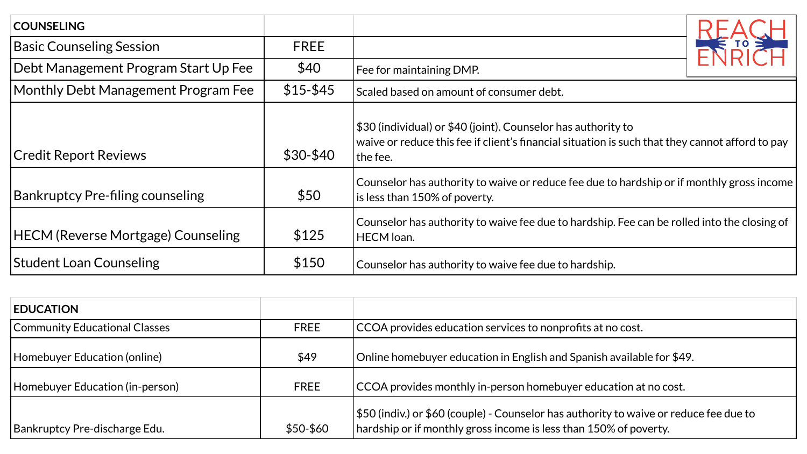| <b>COUNSELING</b>                         |             |                                                                                                                                                                              |        |
|-------------------------------------------|-------------|------------------------------------------------------------------------------------------------------------------------------------------------------------------------------|--------|
| <b>Basic Counseling Session</b>           | <b>FREE</b> |                                                                                                                                                                              | ENDIAN |
| Debt Management Program Start Up Fee      | \$40        | Fee for maintaining DMP.                                                                                                                                                     |        |
| Monthly Debt Management Program Fee       | $$15 - $45$ | Scaled based on amount of consumer debt.                                                                                                                                     |        |
| <b>Credit Report Reviews</b>              | $$30-$40$   | \$30 (individual) or \$40 (joint). Counselor has authority to<br>waive or reduce this fee if client's financial situation is such that they cannot afford to pay<br>the fee. |        |
| Bankruptcy Pre-filing counseling          | \$50        | Counselor has authority to waive or reduce fee due to hardship or if monthly gross income<br>is less than 150% of poverty.                                                   |        |
| <b>HECM (Reverse Mortgage) Counseling</b> | \$125       | Counselor has authority to waive fee due to hardship. Fee can be rolled into the closing of<br><b>HECM</b> loan.                                                             |        |
| <b>Student Loan Counseling</b>            | \$150       | Counselor has authority to waive fee due to hardship.                                                                                                                        |        |

| <b>EDUCATION</b>                |             |                                                                                                                                                                           |
|---------------------------------|-------------|---------------------------------------------------------------------------------------------------------------------------------------------------------------------------|
| Community Educational Classes   | <b>FREE</b> | CCOA provides education services to nonprofits at no cost.                                                                                                                |
| Homebuyer Education (online)    | \$49        | Online homebuyer education in English and Spanish available for \$49.                                                                                                     |
| Homebuyer Education (in-person) | <b>FREE</b> | CCOA provides monthly in-person homebuyer education at no cost.                                                                                                           |
| Bankruptcy Pre-discharge Edu.   | \$50-\$60   | $\frac{1550}{100}$ (indiv.) or \$60 (couple) - Counselor has authority to waive or reduce fee due to<br>hardship or if monthly gross income is less than 150% of poverty. |